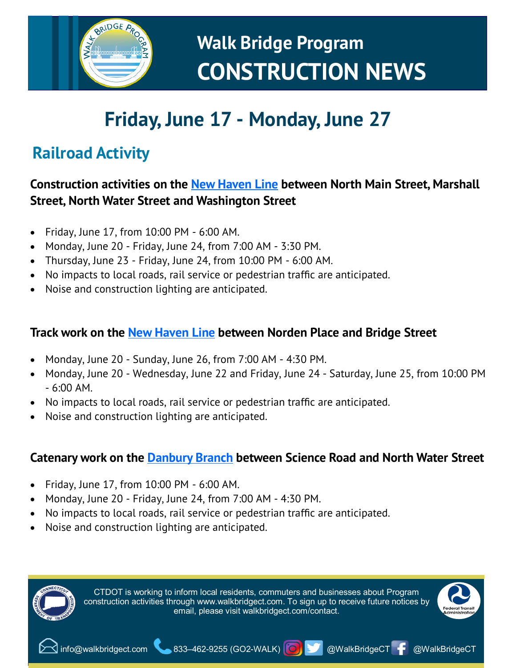

# **Friday, June 17 - Monday, June 27**

# **Railroad Activity**

## **Construction activities on the [New Haven Line](https://www.walkbridgect.com/about_program/construction_activities.aspx#id=130) between North Main Street, Marshall Street, North Water Street and Washington Street**

- Friday, June 17, from 10:00 PM 6:00 AM.
- Monday, June 20 Friday, June 24, from 7:00 AM 3:30 PM.
- Thursday, June 23 Friday, June 24, from 10:00 PM 6:00 AM.
- No impacts to local roads, rail service or pedestrian traffic are anticipated.
- Noise and construction lighting are anticipated.

### **Track work on the [New Haven Line](https://www.walkbridgect.com/about_program/construction_activities.aspx#id=123) between Norden Place and Bridge Street**

- Monday, June 20 Sunday, June 26, from 7:00 AM 4:30 PM.
- Monday, June 20 Wednesday, June 22 and Friday, June 24 Saturday, June 25, from 10:00 PM  $-6:00$  AM.
- No impacts to local roads, rail service or pedestrian traffic are anticipated.
- Noise and construction lighting are anticipated.

### **Catenary work on the [Danbury Branch](https://www.walkbridgect.com/about_program/construction_activities.aspx#id=127) between Science Road and North Water Street**

- Friday, June 17, from 10:00 PM 6:00 AM.
- Monday, June 20 Friday, June 24, from 7:00 AM 4:30 PM.
- No impacts to local roads, rail service or pedestrian traffic are anticipated.
- Noise and construction lighting are anticipated.

CTDOT is working to inform local residents, commuters and businesses about Program construction activities through www.walkbridgect.com. To sign up to receive future notices by email, please visit walkbridgect.com/contact.